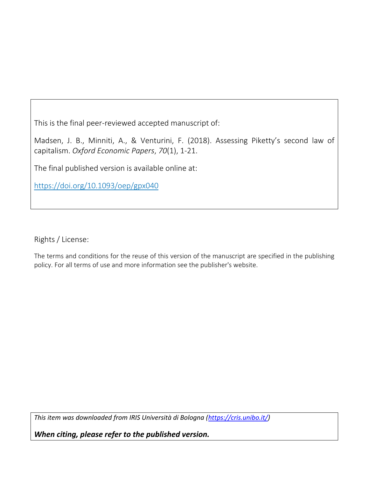This is the final peer-reviewed accepted manuscript of:

Madsen, J. B., Minniti, A., & Venturini, F. (2018). Assessing Piketty's second law of capitalism. *Oxford Economic Papers*, *70*(1), 1-21.

The final published version is available online at:

<https://doi.org/10.1093/oep/gpx040>

Rights / License:

The terms and conditions for the reuse of this version of the manuscript are specified in the publishing policy. For all terms of use and more information see the publisher's website.

*This item was downloaded from IRIS Università di Bologna [\(https://cris.unibo.it/\)](https://cris.unibo.it/)*

*When citing, please refer to the published version.*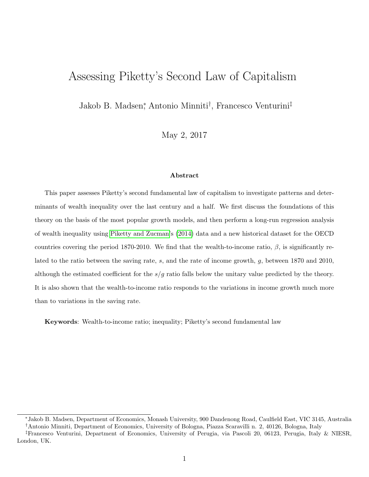# Assessing Piketty's Second Law of Capitalism

Jakob B. Madsen<sup>∗</sup> , Antonio Minniti† , Francesco Venturini‡

May 2, 2017

#### Abstract

This paper assesses Piketty's second fundamental law of capitalism to investigate patterns and determinants of wealth inequality over the last century and a half. We first discuss the foundations of this theory on the basis of the most popular growth models, and then perform a long-run regression analysis of wealth inequality using [Piketty and Zucman'](#page-21-0)s [\(2014\)](#page-21-0) data and a new historical dataset for the OECD countries covering the period 1870-2010. We find that the wealth-to-income ratio,  $\beta$ , is significantly related to the ratio between the saving rate, s, and the rate of income growth, g, between 1870 and 2010, although the estimated coefficient for the  $s/g$  ratio falls below the unitary value predicted by the theory. It is also shown that the wealth-to-income ratio responds to the variations in income growth much more than to variations in the saving rate.

Keywords: Wealth-to-income ratio; inequality; Piketty's second fundamental law

<sup>∗</sup>Jakob B. Madsen, Department of Economics, Monash University, 900 Dandenong Road, Caulfield East, VIC 3145, Australia †Antonio Minniti, Department of Economics, University of Bologna, Piazza Scaravilli n. 2, 40126, Bologna, Italy

<sup>‡</sup>Francesco Venturini, Department of Economics, University of Perugia, via Pascoli 20, 06123, Perugia, Italy & NIESR, London, UK.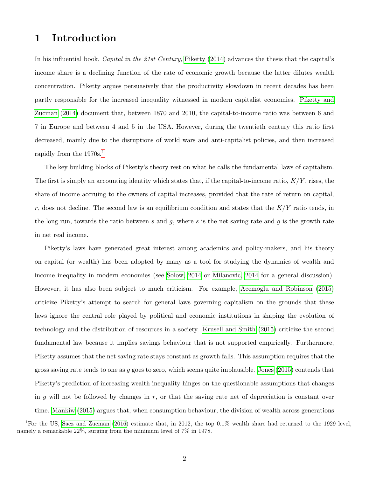## 1 Introduction

In his influential book, *Capital in the 21st Century*, [Piketty](#page-21-1) [\(2014\)](#page-21-1) advances the thesis that the capital's income share is a declining function of the rate of economic growth because the latter dilutes wealth concentration. Piketty argues persuasively that the productivity slowdown in recent decades has been partly responsible for the increased inequality witnessed in modern capitalist economies. [Piketty and](#page-21-0) [Zucman](#page-21-0) [\(2014\)](#page-21-0) document that, between 1870 and 2010, the capital-to-income ratio was between 6 and 7 in Europe and between 4 and 5 in the USA. However, during the twentieth century this ratio first decreased, mainly due to the disruptions of world wars and anti-capitalist policies, and then increased rapidly from the 1970s.[1](#page-2-0)

The key building blocks of Piketty's theory rest on what he calls the fundamental laws of capitalism. The first is simply an accounting identity which states that, if the capital-to-income ratio,  $K/Y$ , rises, the share of income accruing to the owners of capital increases, provided that the rate of return on capital, r, does not decline. The second law is an equilibrium condition and states that the  $K/Y$  ratio tends, in the long run, towards the ratio between  $s$  and  $g$ , where  $s$  is the net saving rate and  $g$  is the growth rate in net real income.

Piketty's laws have generated great interest among academics and policy-makers, and his theory on capital (or wealth) has been adopted by many as a tool for studying the dynamics of wealth and income inequality in modern economies (see [Solow, 2014](#page-21-2) or [Milanovic, 2014](#page-20-0) for a general discussion). However, it has also been subject to much criticism. For example, [Acemoglu and Robinson](#page-19-0) [\(2015\)](#page-19-0) criticize Piketty's attempt to search for general laws governing capitalism on the grounds that these laws ignore the central role played by political and economic institutions in shaping the evolution of technology and the distribution of resources in a society. [Krusell and Smith](#page-20-1) [\(2015\)](#page-20-1) criticize the second fundamental law because it implies savings behaviour that is not supported empirically. Furthermore, Piketty assumes that the net saving rate stays constant as growth falls. This assumption requires that the gross saving rate tends to one as  $g$  goes to zero, which seems quite implausible. [Jones](#page-20-2) [\(2015\)](#page-20-2) contends that Piketty's prediction of increasing wealth inequality hinges on the questionable assumptions that changes in g will not be followed by changes in  $r$ , or that the saving rate net of depreciation is constant over time. [Mankiw](#page-20-3) [\(2015\)](#page-20-3) argues that, when consumption behaviour, the division of wealth across generations

<span id="page-2-0"></span><sup>&</sup>lt;sup>1</sup>For the US, [Saez and Zucman](#page-21-3) [\(2016\)](#page-21-3) estimate that, in 2012, the top 0.1% wealth share had returned to the 1929 level, namely a remarkable 22%, surging from the minimum level of 7% in 1978.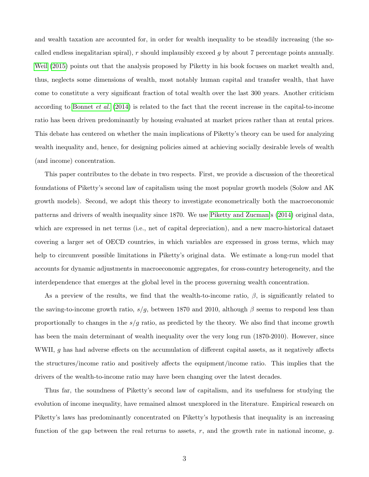and wealth taxation are accounted for, in order for wealth inequality to be steadily increasing (the socalled endless inegalitarian spiral),  $r$  should implausibly exceed  $g$  by about 7 percentage points annually. [Weil](#page-22-0) [\(2015\)](#page-22-0) points out that the analysis proposed by Piketty in his book focuses on market wealth and, thus, neglects some dimensions of wealth, most notably human capital and transfer wealth, that have come to constitute a very significant fraction of total wealth over the last 300 years. Another criticism according to [Bonnet](#page-19-1) et al. [\(2014\)](#page-19-1) is related to the fact that the recent increase in the capital-to-income ratio has been driven predominantly by housing evaluated at market prices rather than at rental prices. This debate has centered on whether the main implications of Piketty's theory can be used for analyzing wealth inequality and, hence, for designing policies aimed at achieving socially desirable levels of wealth (and income) concentration.

This paper contributes to the debate in two respects. First, we provide a discussion of the theoretical foundations of Piketty's second law of capitalism using the most popular growth models (Solow and AK growth models). Second, we adopt this theory to investigate econometrically both the macroeconomic patterns and drivers of wealth inequality since 1870. We use [Piketty and Zucman'](#page-21-0)s [\(2014\)](#page-21-0) original data, which are expressed in net terms (i.e., net of capital depreciation), and a new macro-historical dataset covering a larger set of OECD countries, in which variables are expressed in gross terms, which may help to circumvent possible limitations in Piketty's original data. We estimate a long-run model that accounts for dynamic adjustments in macroeconomic aggregates, for cross-country heterogeneity, and the interdependence that emerges at the global level in the process governing wealth concentration.

As a preview of the results, we find that the wealth-to-income ratio,  $\beta$ , is significantly related to the saving-to-income growth ratio,  $s/g$ , between 1870 and 2010, although  $\beta$  seems to respond less than proportionally to changes in the  $s/g$  ratio, as predicted by the theory. We also find that income growth has been the main determinant of wealth inequality over the very long run (1870-2010). However, since WWII, g has had adverse effects on the accumulation of different capital assets, as it negatively affects the structures/income ratio and positively affects the equipment/income ratio. This implies that the drivers of the wealth-to-income ratio may have been changing over the latest decades.

Thus far, the soundness of Piketty's second law of capitalism, and its usefulness for studying the evolution of income inequality, have remained almost unexplored in the literature. Empirical research on Piketty's laws has predominantly concentrated on Piketty's hypothesis that inequality is an increasing function of the gap between the real returns to assets,  $r$ , and the growth rate in national income,  $g$ .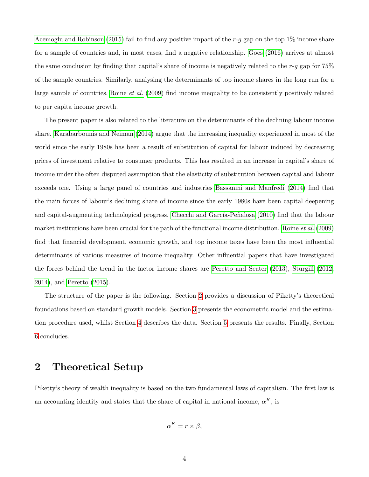[Acemoglu and Robinson](#page-19-0) [\(2015\)](#page-19-0) fail to find any positive impact of the  $r-g$  gap on the top 1% income share for a sample of countries and, in most cases, find a negative relationship. [Goes](#page-20-4) [\(2016\)](#page-20-4) arrives at almost the same conclusion by finding that capital's share of income is negatively related to the  $r-g$  gap for 75% of the sample countries. Similarly, analysing the determinants of top income shares in the long run for a large sample of countries, [Roine](#page-21-4) et al. [\(2009\)](#page-21-4) find income inequality to be consistently positively related to per capita income growth.

The present paper is also related to the literature on the determinants of the declining labour income share. [Karabarbounis and Neiman](#page-20-5) [\(2014\)](#page-20-5) argue that the increasing inequality experienced in most of the world since the early 1980s has been a result of substitution of capital for labour induced by decreasing prices of investment relative to consumer products. This has resulted in an increase in capital's share of income under the often disputed assumption that the elasticity of substitution between capital and labour exceeds one. Using a large panel of countries and industries [Bassanini and Manfredi](#page-19-2) [\(2014\)](#page-19-2) find that the main forces of labour's declining share of income since the early 1980s have been capital deepening and capital-augmenting technological progress. Checchi and García-Peñalosa [\(2010\)](#page-19-3) find that the labour market institutions have been crucial for the path of the functional income distribution. [Roine](#page-21-4) et al. [\(2009\)](#page-21-4) find that financial development, economic growth, and top income taxes have been the most influential determinants of various measures of income inequality. Other influential papers that have investigated the forces behind the trend in the factor income shares are [Peretto and Seater](#page-21-5) [\(2013\)](#page-21-5), [Sturgill](#page-22-1) [\(2012,](#page-22-1) [2014\)](#page-22-2), and [Peretto](#page-21-6) [\(2015\)](#page-21-6).

The structure of the paper is the following. Section [2](#page-4-0) provides a discussion of Piketty's theoretical foundations based on standard growth models. Section [3](#page-6-0) presents the econometric model and the estimation procedure used, whilst Section [4](#page-9-0) describes the data. Section [5](#page-10-0) presents the results. Finally, Section [6](#page-16-0) concludes.

## <span id="page-4-0"></span>2 Theoretical Setup

Piketty's theory of wealth inequality is based on the two fundamental laws of capitalism. The first law is an accounting identity and states that the share of capital in national income,  $\alpha^{K}$ , is

$$
\alpha^K = r \times \beta,
$$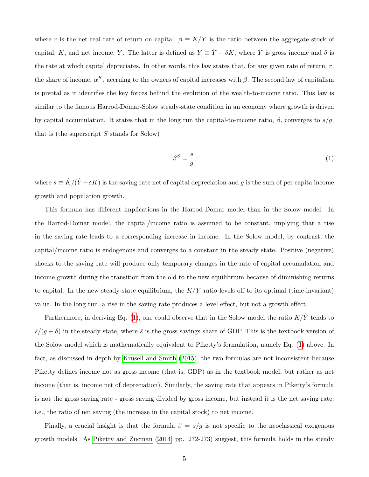where r is the net real rate of return on capital,  $\beta \equiv K/Y$  is the ratio between the aggregate stock of capital, K, and net income, Y. The latter is defined as  $Y = \hat{Y} - \delta K$ , where  $\hat{Y}$  is gross income and  $\delta$  is the rate at which capital depreciates. In other words, this law states that, for any given rate of return,  $r$ , the share of income,  $\alpha^{K}$ , accruing to the owners of capital increases with  $\beta$ . The second law of capitalism is pivotal as it identifies the key forces behind the evolution of the wealth-to-income ratio. This law is similar to the famous Harrod-Domar-Solow steady-state condition in an economy where growth is driven by capital accumulation. It states that in the long run the capital-to-income ratio,  $\beta$ , converges to  $s/g$ , that is (the superscript  $S$  stands for Solow)

<span id="page-5-0"></span>
$$
\beta^S = \frac{s}{g},\tag{1}
$$

where  $s \equiv \dot{K}/(\hat{Y}-\delta K)$  is the saving rate net of capital depreciation and g is the sum of per capita income growth and population growth.

This formula has different implications in the Harrod-Domar model than in the Solow model. In the Harrod-Domar model, the capital/income ratio is assumed to be constant, implying that a rise in the saving rate leads to a corresponding increase in income. In the Solow model, by contrast, the capital/income ratio is endogenous and converges to a constant in the steady state. Positive (negative) shocks to the saving rate will produce only temporary changes in the rate of capital accumulation and income growth during the transition from the old to the new equilibrium because of diminishing returns to capital. In the new steady-state equilibrium, the  $K/Y$  ratio levels off to its optimal (time-invariant) value. In the long run, a rise in the saving rate produces a level effect, but not a growth effect.

Furthermore, in deriving Eq. [\(1\)](#page-5-0), one could observe that in the Solow model the ratio  $K/\hat{Y}$  tends to  $\hat{s}/(g+\delta)$  in the steady state, where  $\hat{s}$  is the gross savings share of GDP. This is the textbook version of the Solow model which is mathematically equivalent to Piketty's formulation, namely Eq. [\(1\)](#page-5-0) above. In fact, as discussed in depth by [Krusell and Smith](#page-20-1) [\(2015\)](#page-20-1), the two formulas are not inconsistent because Piketty defines income not as gross income (that is, GDP) as in the textbook model, but rather as net income (that is, income net of depreciation). Similarly, the saving rate that appears in Piketty's formula is not the gross saving rate - gross saving divided by gross income, but instead it is the net saving rate, i.e., the ratio of net saving (the increase in the capital stock) to net income.

Finally, a crucial insight is that the formula  $\beta = s/g$  is not specific to the neoclassical exogenous growth models. As [Piketty and Zucman](#page-21-0) [\(2014,](#page-21-0) pp. 272-273) suggest, this formula holds in the steady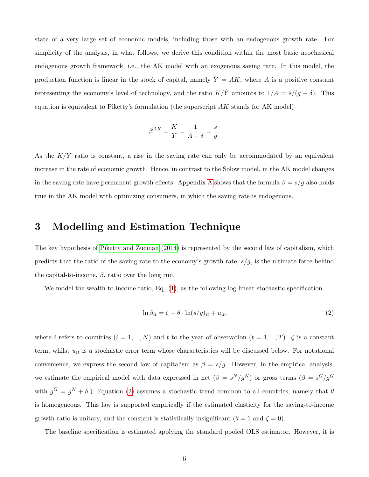state of a very large set of economic models, including those with an endogenous growth rate. For simplicity of the analysis, in what follows, we derive this condition within the most basic neoclassical endogenous growth framework, i.e., the AK model with an exogenous saving rate. In this model, the production function is linear in the stock of capital, namely  $\hat{Y} = AK$ , where A is a positive constant representing the economy's level of technology, and the ratio  $K/\hat{Y}$  amounts to  $1/A = \hat{s}/(g + \delta)$ . This equation is equivalent to Piketty's formulation (the superscript  $AK$  stands for AK model)

$$
\beta^{AK} = \frac{K}{Y} = \frac{1}{A - \delta} = \frac{s}{g}.
$$

As the  $K/Y$  ratio is constant, a rise in the saving rate can only be accommodated by an equivalent increase in the rate of economic growth. Hence, in contrast to the Solow model, in the AK model changes in the saving rate have permanent growth effects. [A](#page-23-0)ppendix A shows that the formula  $\beta = s/g$  also holds true in the AK model with optimizing consumers, in which the saving rate is endogenous.

## <span id="page-6-0"></span>3 Modelling and Estimation Technique

The key hypothesis of [Piketty and Zucman](#page-21-0) [\(2014\)](#page-21-0) is represented by the second law of capitalism, which predicts that the ratio of the saving rate to the economy's growth rate,  $s/g$ , is the ultimate force behind the capital-to-income,  $\beta$ , ratio over the long run.

We model the wealth-to-income ratio, Eq.  $(1)$ , as the following log-linear stochastic specification

<span id="page-6-1"></span>
$$
\ln \beta_{it} = \zeta + \theta \cdot \ln(s/g)_{it} + u_{it},\tag{2}
$$

where i refers to countries  $(i = 1, ..., N)$  and t to the year of observation  $(t = 1, ..., T)$ .  $\zeta$  is a constant term, whilst  $u_{it}$  is a stochastic error term whose characteristics will be discussed below. For notational convenience, we express the second law of capitalism as  $\beta = s/g$ . However, in the empirical analysis, we estimate the empirical model with data expressed in net  $(\beta = s^N/g^N)$  or gross terms  $(\beta = s^G/g^G)$ with  $g^G = g^N + \delta$ .) Equation [\(2\)](#page-6-1) assumes a stochastic trend common to all countries, namely that  $\theta$ is homogeneous. This law is supported empirically if the estimated elasticity for the saving-to-income growth ratio is unitary, and the constant is statistically insignificant  $(\theta = 1 \text{ and } \zeta = 0)$ .

The baseline specification is estimated applying the standard pooled OLS estimator. However, it is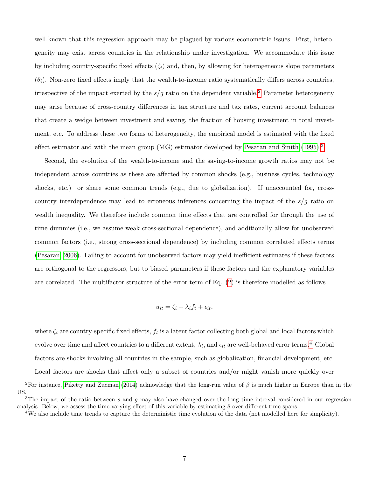well-known that this regression approach may be plagued by various econometric issues. First, heterogeneity may exist across countries in the relationship under investigation. We accommodate this issue by including country-specific fixed effects  $(\zeta_i)$  and, then, by allowing for heterogeneous slope parameters  $(\theta_i)$ . Non-zero fixed effects imply that the wealth-to-income ratio systematically differs across countries, irrespective of the impact exerted by the  $s/g$  ratio on the dependent variable.<sup>[2](#page-7-0)</sup> Parameter heterogeneity may arise because of cross-country differences in tax structure and tax rates, current account balances that create a wedge between investment and saving, the fraction of housing investment in total investment, etc. To address these two forms of heterogeneity, the empirical model is estimated with the fixed effect estimator and with the mean group (MG) estimator developed by [Pesaran and Smith](#page-21-7) [\(1995\)](#page-21-7).<sup>[3](#page-7-1)</sup>

Second, the evolution of the wealth-to-income and the saving-to-income growth ratios may not be independent across countries as these are affected by common shocks (e.g., business cycles, technology shocks, etc.) or share some common trends (e.g., due to globalization). If unaccounted for, crosscountry interdependence may lead to erroneous inferences concerning the impact of the  $s/g$  ratio on wealth inequality. We therefore include common time effects that are controlled for through the use of time dummies (i.e., we assume weak cross-sectional dependence), and additionally allow for unobserved common factors (i.e., strong cross-sectional dependence) by including common correlated effects terms [\(Pesaran, 2006\)](#page-21-8). Failing to account for unobserved factors may yield inefficient estimates if these factors are orthogonal to the regressors, but to biased parameters if these factors and the explanatory variables are correlated. The multifactor structure of the error term of Eq. [\(2\)](#page-6-1) is therefore modelled as follows

$$
u_{it} = \zeta_i + \lambda_i f_t + \epsilon_{it},
$$

where  $\zeta_i$  are country-specific fixed effects,  $f_t$  is a latent factor collecting both global and local factors which evolve over time and affect countries to a different extent,  $\lambda_i$ , and  $\epsilon_{it}$  are well-behaved error terms.<sup>[4](#page-7-2)</sup> Global factors are shocks involving all countries in the sample, such as globalization, financial development, etc.

Local factors are shocks that affect only a subset of countries and/or might vanish more quickly over

<span id="page-7-0"></span><sup>&</sup>lt;sup>2</sup>For instance, [Piketty and Zucman](#page-21-0) [\(2014\)](#page-21-0) acknowledge that the long-run value of  $\beta$  is much higher in Europe than in the US.

<span id="page-7-1"></span> $3$ The impact of the ratio between s and g may also have changed over the long time interval considered in our regression analysis. Below, we assess the time-varying effect of this variable by estimating  $\theta$  over different time spans.

<span id="page-7-2"></span><sup>&</sup>lt;sup>4</sup>We also include time trends to capture the deterministic time evolution of the data (not modelled here for simplicity).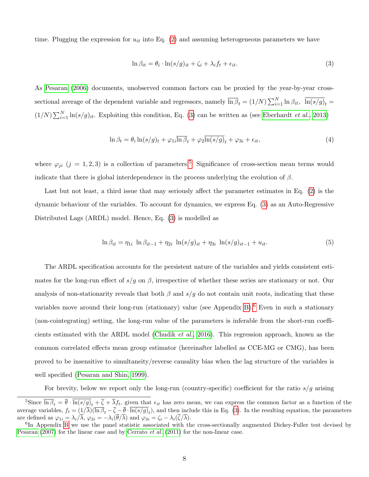time. Plugging the expression for  $u_{it}$  into Eq. [\(2\)](#page-6-1) and assuming heterogeneous parameters we have

<span id="page-8-0"></span>
$$
\ln \beta_{it} = \theta_i \cdot \ln(s/g)_{it} + \zeta_i + \lambda_i f_t + \epsilon_{it}.
$$
\n(3)

As [Pesaran](#page-21-8) [\(2006\)](#page-21-8) documents, unobserved common factors can be proxied by the year-by-year crosssectional average of the dependent variable and regressors, namely  $\overline{\ln \beta}_t = (1/N) \sum_{i=1}^N \ln \beta_{it}$ ,  $\overline{\ln(s/g)}_t =$  $(1/N)\sum_{i=1}^{N}\ln(s/g)_{it}$ . Exploiting this condition, Eq. [\(3\)](#page-8-0) can be written as (see [Eberhardt](#page-19-4) *et al.*, [2013\)](#page-19-4)

$$
\ln \beta_t = \theta_i \ln(s/g)_t + \varphi_{1i} \overline{\ln \beta}_t + \varphi_{2} \overline{\ln(s/g)}_t + \varphi_{3i} + \epsilon_{it},\tag{4}
$$

where  $\varphi_{ji}$  (j = 1, 2, 3) is a collection of parameters.<sup>[5](#page-8-1)</sup> Significance of cross-section mean terms would indicate that there is global interdependence in the process underlying the evolution of  $\beta$ .

Last but not least, a third issue that may seriously affect the parameter estimates in Eq. [\(2\)](#page-6-1) is the dynamic behaviour of the variables. To account for dynamics, we express Eq. [\(3\)](#page-8-0) as an Auto-Regressive Distributed Lags (ARDL) model. Hence, Eq. [\(3\)](#page-8-0) is modelled as

<span id="page-8-3"></span>
$$
\ln \beta_{it} = \eta_{1i} \ln \beta_{it-1} + \eta_{2i} \ln(s/g)_{it} + \eta_{3i} \ln(s/g)_{it-1} + u_{it}.
$$
\n(5)

The ARDL specification accounts for the persistent nature of the variables and yields consistent estimates for the long-run effect of  $s/g$  on  $\beta$ , irrespective of whether these series are stationary or not. Our analysis of non-stationarity reveals that both  $\beta$  and  $s/g$  do not contain unit roots, indicating that these variables move around their long-run (stationary) value (see Appendix [B\)](#page-25-0).<sup>[6](#page-8-2)</sup> Even in such a stationary (non-cointegrating) setting, the long-run value of the parameters is inferable from the short-run coefficients estimated with the ARDL model [\(Chudik](#page-19-5) et al., [2016\)](#page-19-5). This regression approach, known as the common correlated effects mean group estimator (hereinafter labelled as CCE-MG or CMG), has been proved to be insensitive to simultaneity/reverse causality bias when the lag structure of the variables is well specified [\(Pesaran and Shin, 1999\)](#page-21-9).

For brevity, below we report only the long-run (country-specific) coefficient for the ratio  $s/g$  arising

<span id="page-8-1"></span><sup>&</sup>lt;sup>5</sup>Since  $\overline{\ln \beta}_t = \overline{\theta} \cdot \overline{\ln(s/g)}_t + \overline{\zeta} + \overline{\lambda} f_t$ , given that  $\epsilon_{it}$  has zero mean, we can express the common factor as a function of the average variables,  $f_t = (1/\lambda)(\overline{\ln \beta}_t - \overline{\zeta} - \overline{\theta} \cdot \ln(s/g)_t)$ , and then include this in Eq. [\(3\)](#page-8-0). In the resulting equation, the parameters are defined as  $\varphi_{1i} = \lambda_i/\overline{\lambda}$ ,  $\varphi_{2i} = -\lambda_i(\overline{\theta}/\overline{\lambda})$  and  $\varphi_{3i} = \zeta_i - \lambda_i(\overline{\zeta}/\overline{\lambda})$ .

<span id="page-8-2"></span><sup>&</sup>lt;sup>6</sup>In Appendix [B](#page-25-0) we use the panel statistic associated with the cross-sectionally augmented Dickey-Fuller test devised by [Pesaran](#page-21-10)  $(2007)$  for the linear case and by [Cerrato](#page-19-6) *et al.*  $(2011)$  for the non-linear case.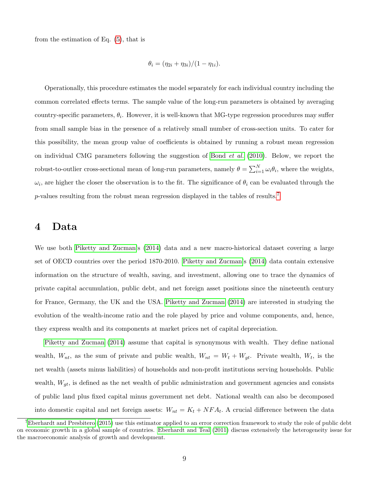from the estimation of Eq. [\(5\)](#page-8-3), that is

$$
\theta_i = (\eta_{2i} + \eta_{3i})/(1 - \eta_{1i}).
$$

Operationally, this procedure estimates the model separately for each individual country including the common correlated effects terms. The sample value of the long-run parameters is obtained by averaging country-specific parameters,  $\theta_i$ . However, it is well-known that MG-type regression procedures may suffer from small sample bias in the presence of a relatively small number of cross-section units. To cater for this possibility, the mean group value of coefficients is obtained by running a robust mean regression on individual CMG parameters following the suggestion of [Bond](#page-19-7)  $et \ al.$  [\(2010\)](#page-19-7). Below, we report the robust-to-outlier cross-sectional mean of long-run parameters, namely  $\theta = \sum_{i=1}^{N} \omega_i \theta_i$ , where the weights,  $\omega_i$ , are higher the closer the observation is to the fit. The significance of  $\theta_i$  can be evaluated through the  $p$ -values resulting from the robust mean regression displayed in the tables of results.<sup>[7](#page-9-1)</sup>

## <span id="page-9-0"></span>4 Data

We use both [Piketty and Zucman'](#page-21-0)s [\(2014\)](#page-21-0) data and a new macro-historical dataset covering a large set of OECD countries over the period 1870-2010. [Piketty and Zucman'](#page-21-0)s [\(2014\)](#page-21-0) data contain extensive information on the structure of wealth, saving, and investment, allowing one to trace the dynamics of private capital accumulation, public debt, and net foreign asset positions since the nineteenth century for France, Germany, the UK and the USA. [Piketty and Zucman](#page-21-0) [\(2014\)](#page-21-0) are interested in studying the evolution of the wealth-income ratio and the role played by price and volume components, and, hence, they express wealth and its components at market prices net of capital depreciation.

[Piketty and Zucman](#page-21-0) [\(2014\)](#page-21-0) assume that capital is synonymous with wealth. They define national wealth,  $W_{nt}$ , as the sum of private and public wealth,  $W_{nt} = W_t + W_{gt}$ . Private wealth,  $W_t$ , is the net wealth (assets minus liabilities) of households and non-profit institutions serving households. Public wealth,  $W_{gt}$ , is defined as the net wealth of public administration and government agencies and consists of public land plus fixed capital minus government net debt. National wealth can also be decomposed into domestic capital and net foreign assets:  $W_{nt} = K_t + NFA_t$ . A crucial difference between the data

<span id="page-9-1"></span><sup>&</sup>lt;sup>7</sup>[Eberhardt and Presbitero](#page-20-6) [\(2015\)](#page-20-6) use this estimator applied to an error correction framework to study the role of public debt on economic growth in a global sample of countries. [Eberhardt and Teal](#page-20-7) [\(2011\)](#page-20-7) discuss extensively the heterogeneity issue for the macroeconomic analysis of growth and development.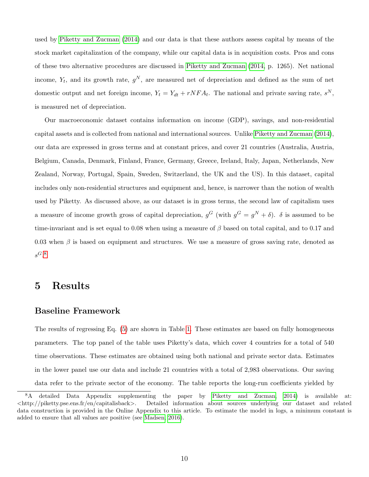used by [Piketty and Zucman](#page-21-0) [\(2014\)](#page-21-0) and our data is that these authors assess capital by means of the stock market capitalization of the company, while our capital data is in acquisition costs. Pros and cons of these two alternative procedures are discussed in [Piketty and Zucman](#page-21-0) [\(2014,](#page-21-0) p. 1265). Net national income,  $Y_t$ , and its growth rate,  $g^N$ , are measured net of depreciation and defined as the sum of net domestic output and net foreign income,  $Y_t = Y_{dt} + rNFA_t$ . The national and private saving rate,  $s^N$ , is measured net of depreciation.

Our macroeconomic dataset contains information on income (GDP), savings, and non-residential capital assets and is collected from national and international sources. Unlike [Piketty and Zucman](#page-21-0) [\(2014\)](#page-21-0), our data are expressed in gross terms and at constant prices, and cover 21 countries (Australia, Austria, Belgium, Canada, Denmark, Finland, France, Germany, Greece, Ireland, Italy, Japan, Netherlands, New Zealand, Norway, Portugal, Spain, Sweden, Switzerland, the UK and the US). In this dataset, capital includes only non-residential structures and equipment and, hence, is narrower than the notion of wealth used by Piketty. As discussed above, as our dataset is in gross terms, the second law of capitalism uses a measure of income growth gross of capital depreciation,  $g^G$  (with  $g^G = g^N + \delta$ ).  $\delta$  is assumed to be time-invariant and is set equal to 0.08 when using a measure of  $\beta$  based on total capital, and to 0.17 and 0.03 when  $\beta$  is based on equipment and structures. We use a measure of gross saving rate, denoted as  $s^G$ .<sup>[8](#page-10-1)</sup>

## <span id="page-10-0"></span>5 Results

## Baseline Framework

The results of regressing Eq. [\(5\)](#page-8-3) are shown in Table [1.](#page-12-0) These estimates are based on fully homogeneous parameters. The top panel of the table uses Piketty's data, which cover 4 countries for a total of 540 time observations. These estimates are obtained using both national and private sector data. Estimates in the lower panel use our data and include 21 countries with a total of 2,983 observations. Our saving data refer to the private sector of the economy. The table reports the long-run coefficients yielded by

<span id="page-10-1"></span><sup>8</sup>A detailed Data Appendix supplementing the paper by [Piketty and Zucman, 2014\)](#page-21-0) is available at:  $\langle \text{http://piketty.pse.ens.fr/en/capitalisback}\rangle$ . Detailed information about sources underlying our dataset and related data construction is provided in the Online Appendix to this article. To estimate the model in logs, a minimum constant is added to ensure that all values are positive (see [Madsen, 2016\)](#page-20-8).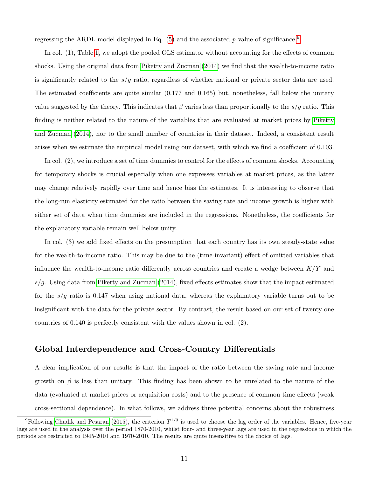regressing the ARDL model displayed in Eq.  $(5)$  and the associated p-value of significance.<sup>[9](#page-11-0)</sup>

In col. (1), Table [1,](#page-12-0) we adopt the pooled OLS estimator without accounting for the effects of common shocks. Using the original data from [Piketty and Zucman](#page-21-0) [\(2014\)](#page-21-0) we find that the wealth-to-income ratio is significantly related to the  $s/g$  ratio, regardless of whether national or private sector data are used. The estimated coefficients are quite similar (0.177 and 0.165) but, nonetheless, fall below the unitary value suggested by the theory. This indicates that  $\beta$  varies less than proportionally to the  $s/g$  ratio. This finding is neither related to the nature of the variables that are evaluated at market prices by [Piketty](#page-21-0) [and Zucman](#page-21-0) [\(2014\)](#page-21-0), nor to the small number of countries in their dataset. Indeed, a consistent result arises when we estimate the empirical model using our dataset, with which we find a coefficient of 0.103.

In col. (2), we introduce a set of time dummies to control for the effects of common shocks. Accounting for temporary shocks is crucial especially when one expresses variables at market prices, as the latter may change relatively rapidly over time and hence bias the estimates. It is interesting to observe that the long-run elasticity estimated for the ratio between the saving rate and income growth is higher with either set of data when time dummies are included in the regressions. Nonetheless, the coefficients for the explanatory variable remain well below unity.

In col. (3) we add fixed effects on the presumption that each country has its own steady-state value for the wealth-to-income ratio. This may be due to the (time-invariant) effect of omitted variables that influence the wealth-to-income ratio differently across countries and create a wedge between  $K/Y$  and  $s/g$ . Using data from [Piketty and Zucman](#page-21-0) [\(2014\)](#page-21-0), fixed effects estimates show that the impact estimated for the  $s/g$  ratio is 0.147 when using national data, whereas the explanatory variable turns out to be insignificant with the data for the private sector. By contrast, the result based on our set of twenty-one countries of 0.140 is perfectly consistent with the values shown in col. (2).

## Global Interdependence and Cross-Country Differentials

A clear implication of our results is that the impact of the ratio between the saving rate and income growth on  $\beta$  is less than unitary. This finding has been shown to be unrelated to the nature of the data (evaluated at market prices or acquisition costs) and to the presence of common time effects (weak cross-sectional dependence). In what follows, we address three potential concerns about the robustness

<span id="page-11-0"></span><sup>&</sup>lt;sup>9</sup>Following [Chudik and Pesaran](#page-19-8) [\(2015\)](#page-19-8), the criterion  $T^{1/3}$  is used to choose the lag order of the variables. Hence, five-year lags are used in the analysis over the period 1870-2010, whilst four- and three-year lags are used in the regressions in which the periods are restricted to 1945-2010 and 1970-2010. The results are quite insensitive to the choice of lags.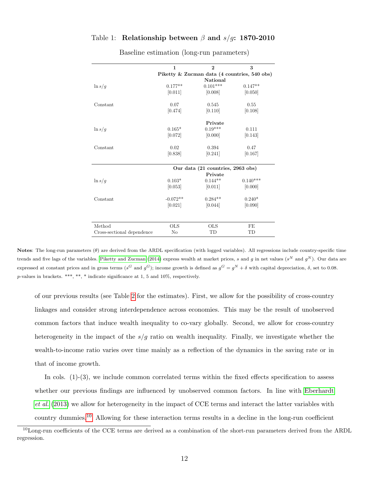#### <span id="page-12-0"></span>Table 1: Relationship between  $\beta$  and  $s/g$ : 1870-2010

|                            | 1          | $\overline{2}$                    | 3                                            |
|----------------------------|------------|-----------------------------------|----------------------------------------------|
|                            |            |                                   | Piketty & Zucman data (4 countries, 540 obs) |
|                            |            | National                          |                                              |
| $\ln s/g$                  | $0.177**$  | $0.101***$                        | $0.147**$                                    |
|                            | [0.011]    | [0.008]                           | [0.050]                                      |
| Constant                   | 0.07       | 0.545                             | 0.55                                         |
|                            | [0.474]    | [0.110]                           | [0.108]                                      |
|                            |            | Private                           |                                              |
| $\ln s/g$                  | $0.165*$   | $0.19***$                         | 0.111                                        |
|                            | [0.072]    | [0.000]                           | [0.143]                                      |
| Constant                   | 0.02       | 0.394                             | 0.47                                         |
|                            | [0.838]    | [0.241]                           | [0.167]                                      |
|                            |            | Our data (21 countries, 2963 obs) |                                              |
|                            |            | Private                           |                                              |
| $\ln s/g$                  | $0.103*$   | $0.144**$                         | $0.140***$                                   |
|                            | [0.053]    | [0.011]                           | [0.000]                                      |
| Constant                   | $-0.072**$ | $0.284**$                         | $0.240*$                                     |
|                            | [0.021]    | [0.044]                           | [0.090]                                      |
|                            |            |                                   |                                              |
| Method                     | <b>OLS</b> | <b>OLS</b>                        | FE                                           |
| Cross-sectional dependence | No         | TD                                | TD                                           |

Baseline estimation (long-run parameters)

Notes: The long-run parameters  $(\theta)$  are derived from the ARDL specification (with logged variables). All regressions include country-specific time trends and five lags of the variables. [Piketty and Zucman](#page-21-0) [\(2014\)](#page-21-0) express wealth at market prices, s and g in net values ( $s^N$  and  $g^N$ ). Our data are expressed at constant prices and in gross terms ( $s^G$  and  $g^G$ ); income growth is defined as  $g^G = g^N + \delta$  with capital depreciation,  $\delta$ , set to 0.08.  $p$ -values in brackets. \*\*\*, \*\*, \* indicate significance at 1, 5 and 10%, respectively.

of our previous results (see Table [2](#page-13-0) for the estimates). First, we allow for the possibility of cross-country linkages and consider strong interdependence across economies. This may be the result of unobserved common factors that induce wealth inequality to co-vary globally. Second, we allow for cross-country heterogeneity in the impact of the  $s/g$  ratio on wealth inequality. Finally, we investigate whether the wealth-to-income ratio varies over time mainly as a reflection of the dynamics in the saving rate or in that of income growth.

In cols. (1)-(3), we include common correlated terms within the fixed effects specification to assess whether our previous findings are influenced by unobserved common factors. In line with [Eberhardt](#page-19-4) [et al.](#page-19-4) [\(2013\)](#page-19-4) we allow for heterogeneity in the impact of CCE terms and interact the latter variables with country dummies.[10](#page-12-1) Allowing for these interaction terms results in a decline in the long-run coefficient

<span id="page-12-1"></span><sup>10</sup>Long-run coefficients of the CCE terms are derived as a combination of the short-run parameters derived from the ARDL regression.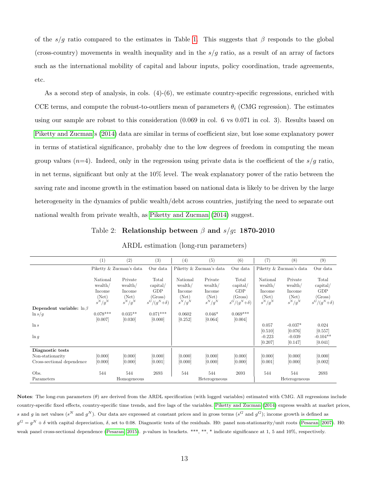of the s/g ratio compared to the estimates in Table [1.](#page-12-0) This suggests that  $\beta$  responds to the global (cross-country) movements in wealth inequality and in the  $s/g$  ratio, as a result of an array of factors such as the international mobility of capital and labour inputs, policy coordination, trade agreements, etc.

As a second step of analysis, in cols.  $(4)-(6)$ , we estimate country-specific regressions, enriched with CCE terms, and compute the robust-to-outliers mean of parameters  $\theta_i$  (CMG regression). The estimates using our sample are robust to this consideration (0.069 in col. 6 vs 0.071 in col. 3). Results based on [Piketty and Zucman'](#page-21-0)s [\(2014\)](#page-21-0) data are similar in terms of coefficient size, but lose some explanatory power in terms of statistical significance, probably due to the low degrees of freedom in computing the mean group values ( $n=4$ ). Indeed, only in the regression using private data is the coefficient of the  $s/g$  ratio, in net terms, significant but only at the 10% level. The weak explanatory power of the ratio between the saving rate and income growth in the estimation based on national data is likely to be driven by the large heterogeneity in the dynamics of public wealth/debt across countries, justifying the need to separate out national wealth from private wealth, as [Piketty and Zucman](#page-21-0) [\(2014\)](#page-21-0) suggest.

Table 2: Relationship between  $\beta$  and  $s/g$ : 1870-2010

<span id="page-13-0"></span>

|                                                | (1)                                    | (2)                                   | (3)                                               | (4)                                    | (5)                                   | (6)                                               | (7)                                    | (8)                                   | (9)                                               |
|------------------------------------------------|----------------------------------------|---------------------------------------|---------------------------------------------------|----------------------------------------|---------------------------------------|---------------------------------------------------|----------------------------------------|---------------------------------------|---------------------------------------------------|
|                                                |                                        | Piketty & Zucman's data               | Our data                                          |                                        | Piketty & Zucman's data               | Our data                                          |                                        | Piketty & Zucman's data               | Our data                                          |
|                                                | National<br>wealth/<br>Income<br>(Net) | Private<br>wealth/<br>Income<br>(Net) | Total<br>$\alpha$ pital/<br><b>GDP</b><br>(Gross) | National<br>wealth/<br>Income<br>(Net) | Private<br>wealth/<br>Income<br>(Net) | Total<br>$\alpha$ pital/<br><b>GDP</b><br>(Gross) | National<br>wealth/<br>Income<br>(Net) | Private<br>wealth/<br>Income<br>(Net) | Total<br>$\alpha$ pital/<br><b>GDP</b><br>(Gross) |
|                                                | $s^N/g^N$                              | $s^N/g^N$                             | $s^G/(g^N+\delta)$                                | $s^N/g^N$                              | $s^N/g^N$                             | $s^G/(g^N+\delta)$                                | $s^N/g^N$                              | $s^N/g^N$                             | $s^G/(g^N+\delta)$                                |
| Dependent variable: $\ln \beta$                |                                        |                                       |                                                   |                                        |                                       |                                                   |                                        |                                       |                                                   |
| $\ln s/g$                                      | $0.078***$                             | $0.035**$                             | $0.071***$                                        | 0.0602                                 | $0.046*$                              | $0.069***$                                        |                                        |                                       |                                                   |
| $\ln s$                                        | [0.007]                                | [0.030]                               | [0.000]                                           | [0.252]                                | [0.064]                               | [0.004]                                           | 0.057<br>[0.510]                       | $-0.037*$<br>[0.076]                  | 0.024<br>[0.557]                                  |
| $\ln g$                                        |                                        |                                       |                                                   |                                        |                                       |                                                   | $-0.223$<br>[0.207]                    | $-0.039$<br>[0.147]                   | $-0.104**$<br>[0.041]                             |
| Diagnostic tests                               |                                        |                                       |                                                   |                                        |                                       |                                                   |                                        |                                       |                                                   |
| Non-stationarity<br>Cross-sectional dependence | [0.000]<br>[0.000]                     | [0.000]<br>[0.000]                    | [0.000]<br>[0.001]                                | [0.000]<br>[0.000]                     | [0.000]<br>[0.000]                    | [0.000]<br>[0.000]                                | [0.000]<br>[0.001]                     | [0.000]<br>[0.000]                    | [0.000]<br>[0.002]                                |
| Obs.                                           | 544                                    | 544                                   | 2693                                              | 544                                    | 544                                   | 2693                                              | 544                                    | 544                                   | 2693                                              |
| Parameters                                     |                                        | Homogeneous                           |                                                   |                                        | Heterogeneous                         |                                                   |                                        | Heterogeneous                         |                                                   |

ARDL estimation (long-run parameters)

Notes: The long-run parameters (θ) are derived from the ARDL specification (with logged variables) estimated with CMG. All regressions include country-specific fixed effects, country-specific time trends, and five lags of the variables. [Piketty and Zucman](#page-21-0) [\(2014\)](#page-21-0) express wealth at market prices, s and g in net values (s<sup>N</sup> and g<sup>N</sup>). Our data are expressed at constant prices and in gross terms (s<sup>G</sup> and g<sup>G</sup>); income growth is defined as  $g^G = g^N + \delta$  with capital depreciation,  $\delta$ , set to 0.08. Diagnostic tests of the residuals. H0: panel non-stationarity/unit roots [\(Pesaran, 2007\)](#page-21-10). H0: weak panel cross-sectional dependence [\(Pesaran, 2015\)](#page-21-11). p-values in brackets. \*\*\*, \*\*, \* indicate significance at 1, 5 and 10%, respectively.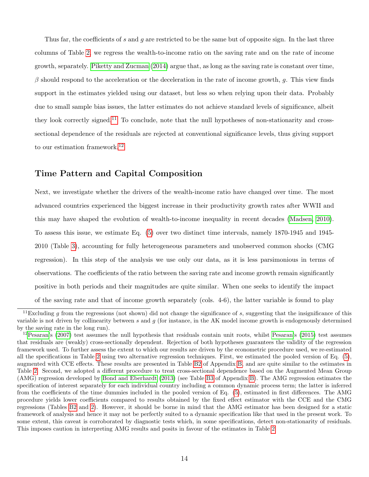Thus far, the coefficients of s and g are restricted to be the same but of opposite sign. In the last three columns of Table [2,](#page-13-0) we regress the wealth-to-income ratio on the saving rate and on the rate of income growth, separately. [Piketty and Zucman](#page-21-0) [\(2014\)](#page-21-0) argue that, as long as the saving rate is constant over time,  $\beta$  should respond to the acceleration or the deceleration in the rate of income growth, g. This view finds support in the estimates yielded using our dataset, but less so when relying upon their data. Probably due to small sample bias issues, the latter estimates do not achieve standard levels of significance, albeit they look correctly signed.<sup>[11](#page-14-0)</sup> To conclude, note that the null hypotheses of non-stationarity and crosssectional dependence of the residuals are rejected at conventional significance levels, thus giving support to our estimation framework.<sup>[12](#page-14-1)</sup>

## Time Pattern and Capital Composition

Next, we investigate whether the drivers of the wealth-income ratio have changed over time. The most advanced countries experienced the biggest increase in their productivity growth rates after WWII and this may have shaped the evolution of wealth-to-income inequality in recent decades [\(Madsen, 2010\)](#page-20-9). To assess this issue, we estimate Eq. [\(5\)](#page-8-3) over two distinct time intervals, namely 1870-1945 and 1945- 2010 (Table [3\)](#page-15-0), accounting for fully heterogeneous parameters and unobserved common shocks (CMG regression). In this step of the analysis we use only our data, as it is less parsimonious in terms of observations. The coefficients of the ratio between the saving rate and income growth remain significantly positive in both periods and their magnitudes are quite similar. When one seeks to identify the impact of the saving rate and that of income growth separately (cols. 4-6), the latter variable is found to play

<span id="page-14-0"></span><sup>&</sup>lt;sup>11</sup>Excluding q from the regressions (not shown) did not change the significance of s, suggesting that the insignificance of this variable is not driven by collinearity between  $s$  and  $g$  (for instance, in the AK model income growth is endogenously determined by the saving rate in the long run).

<span id="page-14-1"></span> $12$ [Pesaran'](#page-21-10)s [\(2007\)](#page-21-10) test assumes the null hypothesis that residuals contain unit roots, whilst [Pesaran'](#page-21-11)s [\(2015\)](#page-21-11) test assumes that residuals are (weakly) cross-sectionally dependent. Rejection of both hypotheses guarantees the validity of the regression framework used. To further assess the extent to which our results are driven by the econometric procedure used, we re-estimated all the specifications in Table [2](#page-13-0) using two alternative regression techniques. First, we estimated the pooled version of Eq. [\(5\)](#page-8-3), augmented with CCE effects. These results are presented in Table [B2](#page-26-0) of Appendix [B,](#page-25-0) and are quite similar to the estimates in Table [2.](#page-13-0) Second, we adopted a different procedure to treat cross-sectional dependence based on the Augmented Mean Group (AMG) regression developed by [Bond and Eberhardt](#page-19-9) [\(2013\)](#page-19-9) (see Table [B3](#page-27-0) of Appendix [B\)](#page-25-0). The AMG regression estimates the specification of interest separately for each individual country including a common dynamic process term; the latter is inferred from the coefficients of the time dummies included in the pooled version of Eq. [\(5\)](#page-8-3), estimated in first differences. The AMG procedure yields lower coefficients compared to results obtained by the fixed effect estimator with the CCE and the CMG regressions (Tables [B2](#page-26-0) and [2\)](#page-13-0). However, it should be borne in mind that the AMG estimator has been designed for a static framework of analysis and hence it may not be perfectly suited to a dynamic specification like that used in the present work. To some extent, this caveat is corroborated by diagnostic tests which, in some specifications, detect non-stationarity of residuals. This imposes caution in interpreting AMG results and posits in favour of the estimates in Table [2.](#page-13-0)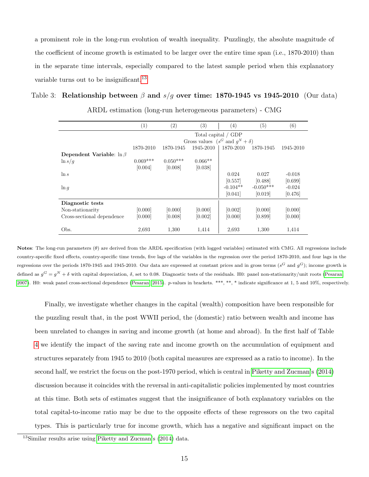a prominent role in the long-run evolution of wealth inequality. Puzzlingly, the absolute magnitude of the coefficient of income growth is estimated to be larger over the entire time span (i.e., 1870-2010) than in the separate time intervals, especially compared to the latest sample period when this explanatory variable turns out to be insignificant.<sup>[13](#page-15-1)</sup>

#### <span id="page-15-0"></span>Table 3: Relationship between  $\beta$  and  $s/g$  over time: 1870-1945 vs 1945-2010 (Our data)

|                                 | $\left(1\right)$    | (2)        | $\left( 3\right)$ | (4)                                       | (5)         | (6)       |  |
|---------------------------------|---------------------|------------|-------------------|-------------------------------------------|-------------|-----------|--|
|                                 | Total capital / GDP |            |                   |                                           |             |           |  |
|                                 |                     |            |                   | Gross values ( $s^G$ and $q^N + \delta$ ) |             |           |  |
|                                 | 1870-2010           | 1870-1945  | 1945-2010         | 1870-2010                                 | 1870-1945   | 1945-2010 |  |
| Dependent Variable: $\ln \beta$ |                     |            |                   |                                           |             |           |  |
| $\ln s/g$                       | $0.069***$          | $0.050***$ | $0.066**$         |                                           |             |           |  |
|                                 | [0.004]             | [0.008]    | [0.038]           |                                           |             |           |  |
| $\ln s$                         |                     |            |                   | 0.024                                     | 0.027       | $-0.018$  |  |
|                                 |                     |            |                   | [0.557]                                   | [0.488]     | [0.699]   |  |
| $\ln g$                         |                     |            |                   | $-0.104**$                                | $-0.050***$ | $-0.024$  |  |
|                                 |                     |            |                   | [0.041]                                   | [0.019]     | [0.476]   |  |
| Diagnostic tests                |                     |            |                   |                                           |             |           |  |
| Non-stationarity                | [0.000]             | [0.000]    | [0.000]           | [0.002]                                   | [0.000]     | [0.000]   |  |
| Cross-sectional dependence      | [0.000]             | [0.008]    | [0.002]           | [0.000]                                   | [0.899]     | [0.000]   |  |
| Obs.                            | 2,693               | 1,300      | 1,414             | 2,693                                     | 1,300       | 1,414     |  |

ARDL estimation (long-run heterogeneous parameters) - CMG

Notes: The long-run parameters (θ) are derived from the ARDL specification (with logged variables) estimated with CMG. All regressions include country-specific fixed effects, country-specific time trends, five lags of the variables in the regression over the period 1870-2010, and four lags in the regressions over the periods 1870-1945 and 1945-2010. Our data are expressed at constant prices and in gross terms ( $s^G$  and  $g^G$ ); income growth is defined as  $g^G = g^N + \delta$  with capital depreciation,  $\delta$ , set to 0.08. Diagnostic tests of the residuals. H0: panel non-stationarity/unit roots [\(Pesaran,](#page-21-10) [2007\)](#page-21-10). H0: weak panel cross-sectional dependence [\(Pesaran, 2015\)](#page-21-11). p-values in brackets. \*\*\*, \*\*, \* indicate significance at 1, 5 and 10%, respectively.

Finally, we investigate whether changes in the capital (wealth) composition have been responsible for the puzzling result that, in the post WWII period, the (domestic) ratio between wealth and income has been unrelated to changes in saving and income growth (at home and abroad). In the first half of Table [4](#page-16-1) we identify the impact of the saving rate and income growth on the accumulation of equipment and structures separately from 1945 to 2010 (both capital measures are expressed as a ratio to income). In the second half, we restrict the focus on the post-1970 period, which is central in [Piketty and Zucman'](#page-21-0)s [\(2014\)](#page-21-0) discussion because it coincides with the reversal in anti-capitalistic policies implemented by most countries at this time. Both sets of estimates suggest that the insignificance of both explanatory variables on the total capital-to-income ratio may be due to the opposite effects of these regressors on the two capital types. This is particularly true for income growth, which has a negative and significant impact on the

<span id="page-15-1"></span><sup>&</sup>lt;sup>13</sup>Similar results arise using [Piketty and Zucman'](#page-21-0)s [\(2014\)](#page-21-0) data.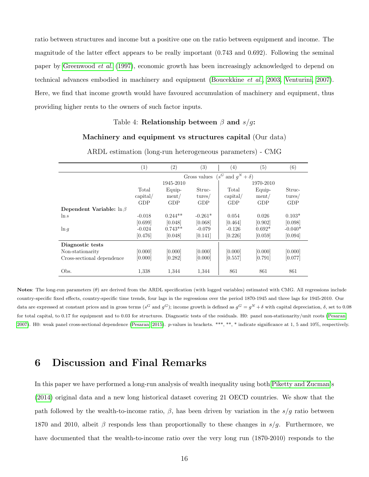ratio between structures and income but a positive one on the ratio between equipment and income. The magnitude of the latter effect appears to be really important (0.743 and 0.692). Following the seminal paper by [Greenwood](#page-20-10) et al. [\(1997\)](#page-20-10), economic growth has been increasingly acknowledged to depend on technical advances embodied in machinery and equipment [\(Boucekkine](#page-19-10) et al., [2003,](#page-19-10) [Venturini, 2007\)](#page-22-3). Here, we find that income growth would have favoured accumulation of machinery and equipment, thus providing higher rents to the owners of such factor inputs.

#### Table 4: Relationship between  $\beta$  and  $s/g$ :

#### Machinery and equipment vs structures capital (Our data)

<span id="page-16-1"></span>

|                                 | (1)                                               | (2)       | $\left( 3\right)$ | $\left( 4\right)$ | (5)      | (6)        |
|---------------------------------|---------------------------------------------------|-----------|-------------------|-------------------|----------|------------|
|                                 | $(s^G \text{ and } g^N + \delta)$<br>Gross values |           |                   |                   |          |            |
|                                 |                                                   | 1945-2010 |                   | 1970-2010         |          |            |
|                                 | Total                                             | Equip-    | Struc-            | Total             | Equip-   | Struc-     |
|                                 | $\alpha$ pital/                                   | ment/     | tures/            | $\alpha$ pital/   | ment/    | tures/     |
|                                 | <b>GDP</b>                                        | GDP       | GDP               | GDP               | GDP      | <b>GDP</b> |
| Dependent Variable: $\ln \beta$ |                                                   |           |                   |                   |          |            |
| $\ln s$                         | $-0.018$                                          | $0.244**$ | $-0.261*$         | 0.054             | 0.026    | $0.103*$   |
|                                 | [0.699]                                           | [0.048]   | [0.068]           | [0.464]           | [0.902]  | [0.098]    |
| $\ln q$                         | $-0.024$                                          | $0.743**$ | $-0.079$          | $-0.126$          | $0.692*$ | $-0.040*$  |
|                                 | [0.476]                                           | [0.048]   | [0.141]           | [0.226]           | [0.059]  | [0.094]    |
| Diagnostic tests                |                                                   |           |                   |                   |          |            |
| Non-stationarity                | [0.000]                                           | [0.000]   | [0.000]           | [0.000]           | [0.000]  | [0.000]    |
| Cross-sectional dependence      | [0.000]                                           | [0.282]   | [0.000]           | [0.557]           | [0.791]  | [0.077]    |
| Obs.                            | 1,338                                             | 1,344     | 1,344             | 861               | 861      | 861        |

ARDL estimation (long-run heterogeneous parameters) - CMG

Notes: The long-run parameters  $(\theta)$  are derived from the ARDL specification (with logged variables) estimated with CMG. All regressions include country-specific fixed effects, country-specific time trends, four lags in the regressions over the period 1870-1945 and three lags for 1945-2010. Our data are expressed at constant prices and in gross terms ( $s^G$  and  $g^G$ ); income growth is defined as  $g^G = g^N + \delta$  with capital depreciation,  $\delta$ , set to 0.08 for total capital, to 0.17 for equipment and to 0.03 for structures. Diagnostic tests of the residuals. H0: panel non-stationarity/unit roots [\(Pesaran,](#page-21-10) [2007\)](#page-21-10). H0: weak panel cross-sectional dependence [\(Pesaran, 2015\)](#page-21-11). p-values in brackets. \*\*\*, \*\*, \* indicate significance at 1, 5 and 10%, respectively.

## <span id="page-16-0"></span>6 Discussion and Final Remarks

In this paper we have performed a long-run analysis of wealth inequality using both [Piketty and Zucman'](#page-21-0)s [\(2014\)](#page-21-0) original data and a new long historical dataset covering 21 OECD countries. We show that the path followed by the wealth-to-income ratio,  $\beta$ , has been driven by variation in the s/g ratio between 1870 and 2010, albeit  $\beta$  responds less than proportionally to these changes in s/g. Furthermore, we have documented that the wealth-to-income ratio over the very long run (1870-2010) responds to the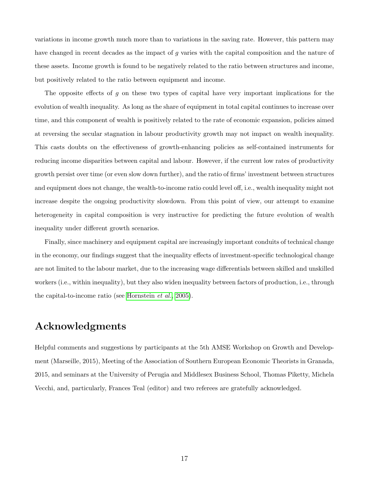variations in income growth much more than to variations in the saving rate. However, this pattern may have changed in recent decades as the impact of g varies with the capital composition and the nature of these assets. Income growth is found to be negatively related to the ratio between structures and income, but positively related to the ratio between equipment and income.

The opposite effects of g on these two types of capital have very important implications for the evolution of wealth inequality. As long as the share of equipment in total capital continues to increase over time, and this component of wealth is positively related to the rate of economic expansion, policies aimed at reversing the secular stagnation in labour productivity growth may not impact on wealth inequality. This casts doubts on the effectiveness of growth-enhancing policies as self-contained instruments for reducing income disparities between capital and labour. However, if the current low rates of productivity growth persist over time (or even slow down further), and the ratio of firms' investment between structures and equipment does not change, the wealth-to-income ratio could level off, i.e., wealth inequality might not increase despite the ongoing productivity slowdown. From this point of view, our attempt to examine heterogeneity in capital composition is very instructive for predicting the future evolution of wealth inequality under different growth scenarios.

Finally, since machinery and equipment capital are increasingly important conduits of technical change in the economy, our findings suggest that the inequality effects of investment-specific technological change are not limited to the labour market, due to the increasing wage differentials between skilled and unskilled workers (i.e., within inequality), but they also widen inequality between factors of production, i.e., through the capital-to-income ratio (see [Hornstein](#page-20-11) et al., [2005\)](#page-20-11).

# Acknowledgments

Helpful comments and suggestions by participants at the 5th AMSE Workshop on Growth and Development (Marseille, 2015), Meeting of the Association of Southern European Economic Theorists in Granada, 2015, and seminars at the University of Perugia and Middlesex Business School, Thomas Piketty, Michela Vecchi, and, particularly, Frances Teal (editor) and two referees are gratefully acknowledged.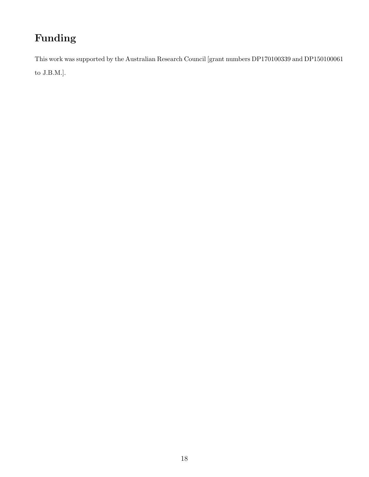# Funding

This work was supported by the Australian Research Council [grant numbers DP170100339 and DP150100061

to J.B.M.].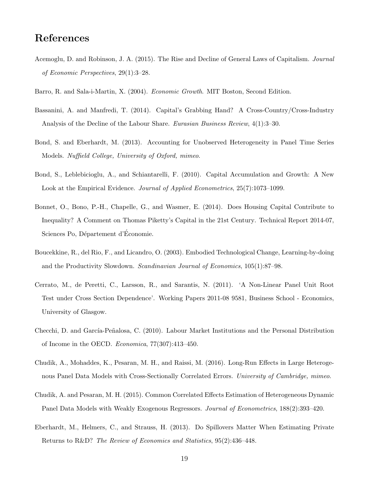## References

- <span id="page-19-0"></span>Acemoglu, D. and Robinson, J. A. (2015). The Rise and Decline of General Laws of Capitalism. Journal of Economic Perspectives, 29(1):3–28.
- <span id="page-19-11"></span>Barro, R. and Sala-i-Martin, X. (2004). Economic Growth. MIT Boston, Second Edition.
- <span id="page-19-2"></span>Bassanini, A. and Manfredi, T. (2014). Capital's Grabbing Hand? A Cross-Country/Cross-Industry Analysis of the Decline of the Labour Share. Eurasian Business Review, 4(1):3–30.
- <span id="page-19-9"></span>Bond, S. and Eberhardt, M. (2013). Accounting for Unobserved Heterogeneity in Panel Time Series Models. Nuffield College, University of Oxford, mimeo.
- <span id="page-19-7"></span>Bond, S., Leblebicioglu, A., and Schiantarelli, F. (2010). Capital Accumulation and Growth: A New Look at the Empirical Evidence. Journal of Applied Econometrics, 25(7):1073-1099.
- <span id="page-19-1"></span>Bonnet, O., Bono, P.-H., Chapelle, G., and Wasmer, E. (2014). Does Housing Capital Contribute to Inequality? A Comment on Thomas Piketty's Capital in the 21st Century. Technical Report 2014-07, Sciences Po, Département d'Economie.
- <span id="page-19-10"></span>Boucekkine, R., del Rio, F., and Licandro, O. (2003). Embodied Technological Change, Learning-by-doing and the Productivity Slowdown. Scandinavian Journal of Economics, 105(1):87–98.
- <span id="page-19-6"></span>Cerrato, M., de Peretti, C., Larsson, R., and Sarantis, N. (2011). 'A Non-Linear Panel Unit Root Test under Cross Section Dependence'. Working Papers 2011-08 9581, Business School - Economics, University of Glasgow.
- <span id="page-19-3"></span>Checchi, D. and García-Peñalosa, C. (2010). Labour Market Institutions and the Personal Distribution of Income in the OECD. Economica, 77(307):413–450.
- <span id="page-19-5"></span>Chudik, A., Mohaddes, K., Pesaran, M. H., and Raissi, M. (2016). Long-Run Effects in Large Heterogenous Panel Data Models with Cross-Sectionally Correlated Errors. University of Cambridge, mimeo.
- <span id="page-19-8"></span>Chudik, A. and Pesaran, M. H. (2015). Common Correlated Effects Estimation of Heterogeneous Dynamic Panel Data Models with Weakly Exogenous Regressors. *Journal of Econometrics*, 188(2):393–420.
- <span id="page-19-4"></span>Eberhardt, M., Helmers, C., and Strauss, H. (2013). Do Spillovers Matter When Estimating Private Returns to R&D? The Review of Economics and Statistics, 95(2):436–448.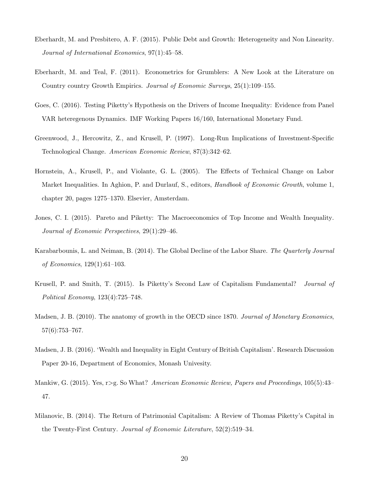- <span id="page-20-6"></span>Eberhardt, M. and Presbitero, A. F. (2015). Public Debt and Growth: Heterogeneity and Non Linearity. Journal of International Economics, 97(1):45–58.
- <span id="page-20-7"></span>Eberhardt, M. and Teal, F. (2011). Econometrics for Grumblers: A New Look at the Literature on Country country Growth Empirics. Journal of Economic Surveys, 25(1):109–155.
- <span id="page-20-4"></span>Goes, C. (2016). Testing Piketty's Hypothesis on the Drivers of Income Inequality: Evidence from Panel VAR heteregenous Dynamics. IMF Working Papers 16/160, International Monetary Fund.
- <span id="page-20-10"></span>Greenwood, J., Hercowitz, Z., and Krusell, P. (1997). Long-Run Implications of Investment-Specific Technological Change. American Economic Review, 87(3):342–62.
- <span id="page-20-11"></span>Hornstein, A., Krusell, P., and Violante, G. L. (2005). The Effects of Technical Change on Labor Market Inequalities. In Aghion, P. and Durlauf, S., editors, *Handbook of Economic Growth*, volume 1, chapter 20, pages 1275–1370. Elsevier, Amsterdam.
- <span id="page-20-2"></span>Jones, C. I. (2015). Pareto and Piketty: The Macroeconomics of Top Income and Wealth Inequality. Journal of Economic Perspectives, 29(1):29–46.
- <span id="page-20-5"></span>Karabarbounis, L. and Neiman, B. (2014). The Global Decline of the Labor Share. The Quarterly Journal of Economics, 129(1):61–103.
- <span id="page-20-1"></span>Krusell, P. and Smith, T. (2015). Is Piketty's Second Law of Capitalism Fundamental? Journal of Political Economy, 123(4):725–748.
- <span id="page-20-9"></span>Madsen, J. B. (2010). The anatomy of growth in the OECD since 1870. Journal of Monetary Economics, 57(6):753–767.
- <span id="page-20-8"></span>Madsen, J. B. (2016). 'Wealth and Inequality in Eight Century of British Capitalism'. Research Discussion Paper 20-16, Department of Economics, Monash Univesity.
- <span id="page-20-3"></span>Mankiw, G. (2015). Yes, r>g. So What? American Economic Review, Papers and Proceedings, 105(5):43– 47.
- <span id="page-20-0"></span>Milanovic, B. (2014). The Return of Patrimonial Capitalism: A Review of Thomas Piketty's Capital in the Twenty-First Century. Journal of Economic Literature, 52(2):519–34.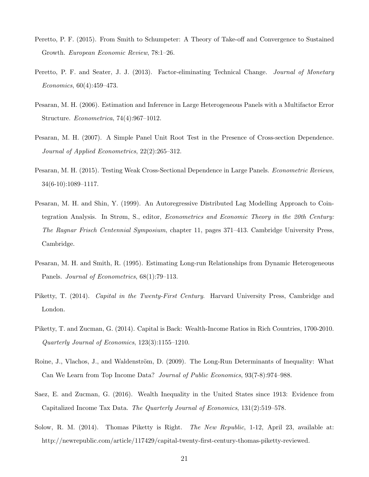- <span id="page-21-6"></span>Peretto, P. F. (2015). From Smith to Schumpeter: A Theory of Take-off and Convergence to Sustained Growth. European Economic Review, 78:1–26.
- <span id="page-21-5"></span>Peretto, P. F. and Seater, J. J. (2013). Factor-eliminating Technical Change. Journal of Monetary Economics, 60(4):459–473.
- <span id="page-21-8"></span>Pesaran, M. H. (2006). Estimation and Inference in Large Heterogeneous Panels with a Multifactor Error Structure. Econometrica, 74(4):967–1012.
- <span id="page-21-10"></span>Pesaran, M. H. (2007). A Simple Panel Unit Root Test in the Presence of Cross-section Dependence. Journal of Applied Econometrics, 22(2):265–312.
- <span id="page-21-11"></span>Pesaran, M. H. (2015). Testing Weak Cross-Sectional Dependence in Large Panels. Econometric Reviews, 34(6-10):1089–1117.
- <span id="page-21-9"></span>Pesaran, M. H. and Shin, Y. (1999). An Autoregressive Distributed Lag Modelling Approach to Cointegration Analysis. In Strøm, S., editor, Econometrics and Economic Theory in the 20th Century: The Ragnar Frisch Centennial Symposium, chapter 11, pages 371–413. Cambridge University Press, Cambridge.
- <span id="page-21-7"></span>Pesaran, M. H. and Smith, R. (1995). Estimating Long-run Relationships from Dynamic Heterogeneous Panels. Journal of Econometrics, 68(1):79–113.
- <span id="page-21-1"></span>Piketty, T. (2014). Capital in the Twenty-First Century. Harvard University Press, Cambridge and London.
- <span id="page-21-0"></span>Piketty, T. and Zucman, G. (2014). Capital is Back: Wealth-Income Ratios in Rich Countries, 1700-2010. Quarterly Journal of Economics, 123(3):1155–1210.
- <span id="page-21-4"></span>Roine, J., Vlachos, J., and Waldenström, D. (2009). The Long-Run Determinants of Inequality: What Can We Learn from Top Income Data? Journal of Public Economics, 93(7-8):974–988.
- <span id="page-21-3"></span>Saez, E. and Zucman, G. (2016). Wealth Inequality in the United States since 1913: Evidence from Capitalized Income Tax Data. The Quarterly Journal of Economics, 131(2):519–578.
- <span id="page-21-2"></span>Solow, R. M. (2014). Thomas Piketty is Right. *The New Republic*, 1-12, April 23, available at: http://newrepublic.com/article/117429/capital-twenty-first-century-thomas-piketty-reviewed.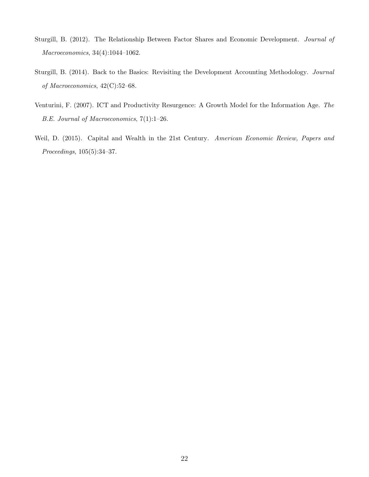- <span id="page-22-1"></span>Sturgill, B. (2012). The Relationship Between Factor Shares and Economic Development. Journal of Macroeconomics, 34(4):1044–1062.
- <span id="page-22-2"></span>Sturgill, B. (2014). Back to the Basics: Revisiting the Development Accounting Methodology. Journal of Macroeconomics, 42(C):52–68.
- <span id="page-22-3"></span>Venturini, F. (2007). ICT and Productivity Resurgence: A Growth Model for the Information Age. The B.E. Journal of Macroeconomics, 7(1):1–26.
- <span id="page-22-0"></span>Weil, D. (2015). Capital and Wealth in the 21st Century. American Economic Review, Papers and Proceedings, 105(5):34–37.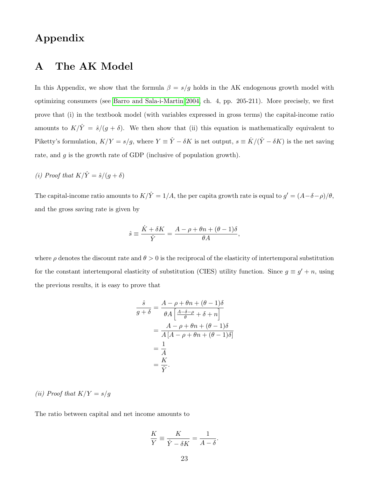# Appendix

## <span id="page-23-0"></span>A The AK Model

In this Appendix, we show that the formula  $\beta = s/g$  holds in the AK endogenous growth model with optimizing consumers (see [Barro and Sala-i-Martin 2004,](#page-19-11) ch. 4, pp. 205-211). More precisely, we first prove that (i) in the textbook model (with variables expressed in gross terms) the capital-income ratio amounts to  $K/\hat{Y} = \hat{s}/(g + \delta)$ . We then show that (ii) this equation is mathematically equivalent to Piketty's formulation,  $K/Y = s/g$ , where  $Y \equiv \hat{Y} - \delta K$  is net output,  $s \equiv \dot{K}/(\hat{Y} - \delta K)$  is the net saving rate, and g is the growth rate of GDP (inclusive of population growth).

(i) Proof that  $K/\hat{Y} = \hat{s}/(g + \delta)$ 

The capital-income ratio amounts to  $K/\hat{Y} = 1/A$ , the per capita growth rate is equal to  $g' = (A - \delta - \rho)/\theta$ , and the gross saving rate is given by

$$
\hat{s} \equiv \frac{\dot{K} + \delta K}{\hat{Y}} = \frac{A - \rho + \theta n + (\theta - 1)\delta}{\theta A},
$$

where  $\rho$  denotes the discount rate and  $\theta > 0$  is the reciprocal of the elasticity of intertemporal substitution for the constant intertemporal elasticity of substitution (CIES) utility function. Since  $g \equiv g' + n$ , using the previous results, it is easy to prove that

$$
\frac{\hat{s}}{g+\delta} = \frac{A-\rho+\theta n + (\theta-1)\delta}{\theta A \left[\frac{A-\delta-\rho}{\theta} + \delta + n\right]}
$$

$$
= \frac{A-\rho+\theta n + (\theta-1)\delta}{A \left[A-\rho+\theta n + (\theta-1)\delta\right]}
$$

$$
= \frac{1}{A}
$$

$$
= \frac{K}{\hat{Y}}.
$$

#### (ii) Proof that  $K/Y = s/g$

The ratio between capital and net income amounts to

$$
\frac{K}{Y} \equiv \frac{K}{\hat{Y} - \delta K} = \frac{1}{A - \delta}.
$$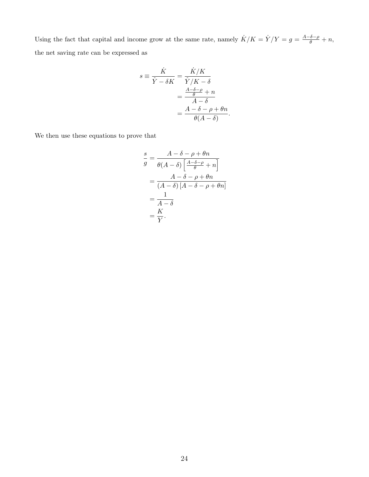Using the fact that capital and income grow at the same rate, namely  $\dot{K}/K = \dot{Y}/Y = g = \frac{A-\delta-\rho}{\theta} + n$ , the net saving rate can be expressed as

$$
s \equiv \frac{\dot{K}}{\hat{Y} - \delta K} = \frac{\dot{K}/K}{\hat{Y}/K - \delta}
$$

$$
= \frac{\frac{A - \delta - \rho}{\theta} + n}{A - \delta}
$$

$$
= \frac{A - \delta - \rho + \theta n}{\theta(A - \delta)}.
$$

We then use these equations to prove that

$$
\frac{s}{g} = \frac{A - \delta - \rho + \theta n}{\theta (A - \delta) \left[ \frac{A - \delta - \rho}{\theta} + n \right]}
$$

$$
= \frac{A - \delta - \rho + \theta n}{(A - \delta) [A - \delta - \rho + \theta n]}
$$

$$
= \frac{1}{A - \delta}
$$

$$
= \frac{K}{Y}.
$$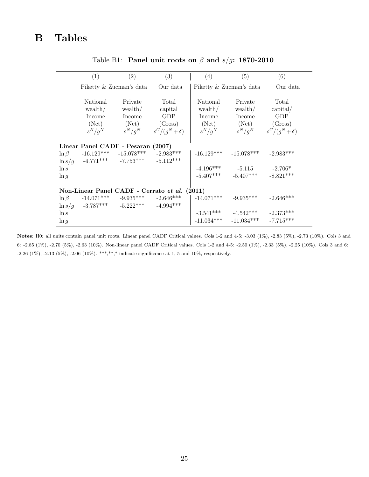<span id="page-25-0"></span>

|                    | (1)                                    | $\left( 2\right)$                                                                     | (3)                                           | (4)                                                 | (5)                                                       | (6)                                                                               |
|--------------------|----------------------------------------|---------------------------------------------------------------------------------------|-----------------------------------------------|-----------------------------------------------------|-----------------------------------------------------------|-----------------------------------------------------------------------------------|
|                    |                                        | Piketty & Zucman's data                                                               | Our data                                      |                                                     | Piketty & Zucman's data                                   | Our data                                                                          |
|                    | National<br>wealth/<br>Income<br>(Net) | Private<br>wealth/<br>Income<br>(Net)<br>$s^N/q^N$ $s^N/q^N$ $s^G/(q^N+\delta)$       | Total<br>capital<br>GDP<br>(Gross)            | National<br>wealth/<br>Income<br>(Net)<br>$s^N/q^N$ | Private<br>wealth/<br>Income<br>(Net)                     | Total<br>$\alpha$ pital/<br><b>GDP</b><br>(Gross)<br>$s^N/q^N$ $s^G/(q^N+\delta)$ |
|                    |                                        | Linear Panel CADF - Pesaran (2007)                                                    |                                               |                                                     |                                                           |                                                                                   |
| $\ln \beta$        |                                        | $-16.129***$ $-15.078***$ $-2.983***$                                                 |                                               |                                                     | $-16.129***$ $-15.078***$                                 | $-2.983***$                                                                       |
| $\ln s$<br>$\ln q$ |                                        | $\ln s/g$ -4.771*** -7.753*** -5.112***                                               |                                               |                                                     | $-4.196***$ $-5.115$ $-2.706*$<br>$-5.407***$ $-5.407***$ | $-8.821***$                                                                       |
|                    |                                        |                                                                                       | Non-Linear Panel CADF - Cerrato et al. (2011) |                                                     |                                                           |                                                                                   |
|                    |                                        | $\ln \beta$ -14.071*** -9.935*** -2.646***<br>$\ln s/g$ -3.787*** -5.222*** -4.994*** |                                               | $-14.071***$ $-9.935***$                            |                                                           | $-2.646***$                                                                       |
| $\ln s$            |                                        |                                                                                       |                                               |                                                     | $-3.541***$ $-4.542***$                                   | $-2.373***$                                                                       |
| $\ln q$            |                                        |                                                                                       |                                               |                                                     | $-11.034***$ $-11.034***$                                 | $-7.715***$                                                                       |

Table B1: Panel unit roots on  $\beta$  and  $s/g$ : 1870-2010

Notes: H0: all units contain panel unit roots. Linear panel CADF Critical values. Cols 1-2 and 4-5: -3.03 (1%), -2.83 (5%), -2.73 (10%). Cols 3 and 6: -2.85 (1%), -2.70 (5%), -2.63 (10%). Non-linear panel CADF Critical values. Cols 1-2 and 4-5: -2.50 (1%), -2.33 (5%), -2.25 (10%). Cols 3 and 6: -2.26 (1%), -2.13 (5%), -2.06 (10%). \*\*\*,\*\*,\* indicate significance at 1, 5 and 10%, respectively.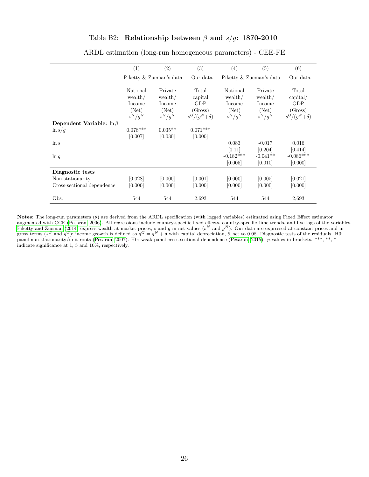## Table B2: Relationship between  $\beta$  and  $s/g$ : 1870-2010

<span id="page-26-0"></span>

|                                 | (1)                                                 | (2)                                                | (3)                                                             | (4)                                                 | (5)                                                | (6)                                                                     |
|---------------------------------|-----------------------------------------------------|----------------------------------------------------|-----------------------------------------------------------------|-----------------------------------------------------|----------------------------------------------------|-------------------------------------------------------------------------|
|                                 | Piketty & Zucman's data                             |                                                    | Our data                                                        |                                                     | Piketty & Zucman's data                            |                                                                         |
|                                 | National<br>wealth/<br>Income<br>(Net)<br>$s^N/q^N$ | Private<br>wealth/<br>Income<br>(Net)<br>$s^N/g^N$ | Total<br>capital<br><b>GDP</b><br>(Gross)<br>$s^G/(q^N+\delta)$ | National<br>wealth/<br>Income<br>(Net)<br>$s^N/q^N$ | Private<br>wealth/<br>Income<br>(Net)<br>$s^N/g^N$ | Total<br>$\alpha$ pital/<br><b>GDP</b><br>(Gross)<br>$s^G/(q^N+\delta)$ |
| Dependent Variable: $\ln \beta$ |                                                     |                                                    |                                                                 |                                                     |                                                    |                                                                         |
| $\ln s/g$                       | $0.078***$                                          | $0.035**$                                          | $0.071***$                                                      |                                                     |                                                    |                                                                         |
|                                 | [0.007]                                             | [0.030]                                            | [0.000]                                                         |                                                     |                                                    |                                                                         |
| $\ln s$                         |                                                     |                                                    |                                                                 | 0.083                                               | $-0.017$                                           | 0.016                                                                   |
|                                 |                                                     |                                                    |                                                                 | [0.11]                                              | [0.204]                                            | [0.414]                                                                 |
| $\ln g$                         |                                                     |                                                    |                                                                 | $-0.182***$<br>[0.005]                              | $-0.041**$<br>[0.010]                              | $-0.086***$<br>[0.000]                                                  |
| Diagnostic tests                |                                                     |                                                    |                                                                 |                                                     |                                                    |                                                                         |
| Non-stationarity                | [0.028]                                             | [0.000]                                            | [0.001]                                                         | [0.000]                                             | [0.005]                                            | [0.021]                                                                 |
| Cross-sectional dependence      | [0.000]                                             | [0.000]                                            | [0.000]                                                         | [0.000]                                             | [0.000]                                            | [0.000]                                                                 |
| Obs.                            | 544                                                 | 544                                                | 2,693                                                           | 544                                                 | 544                                                | 2,693                                                                   |

ARDL estimation (long-run homogeneous parameters) - CEE-FE

Notes: The long-run parameters (θ) are derived from the ARDL specification (with logged variables) estimated using Fixed Effect estimator augmented with CCE [\(Pesaran, 2006\)](#page-21-8). All regressions include country-specific fixed effects, country-specific time trends, and five lags of the variables. [Piketty and Zucman](#page-21-0) [\(2014\)](#page-21-0) express wealth at market prices, s and g in net values (s<sup>N</sup> and  $g<sup>N</sup>$ ). Our data are expressed at constant prices and in gross terms (s<sup>G</sup> and  $g^G$ ); income growth is defined as  $g^G = g^N + \delta$  with capital depreciation,  $\delta$ , set to 0.08. Diagnostic tests of the residuals. H0: panel non-stationarity/unit roots [\(Pesaran, 2007\)](#page-21-10). H0: weak panel cross-sectional dependence [\(Pesaran, 2015\)](#page-21-11). p-values in brackets. \*\*\*, \*\*, \* indicate significance at 1, 5 and 10%, respectively.